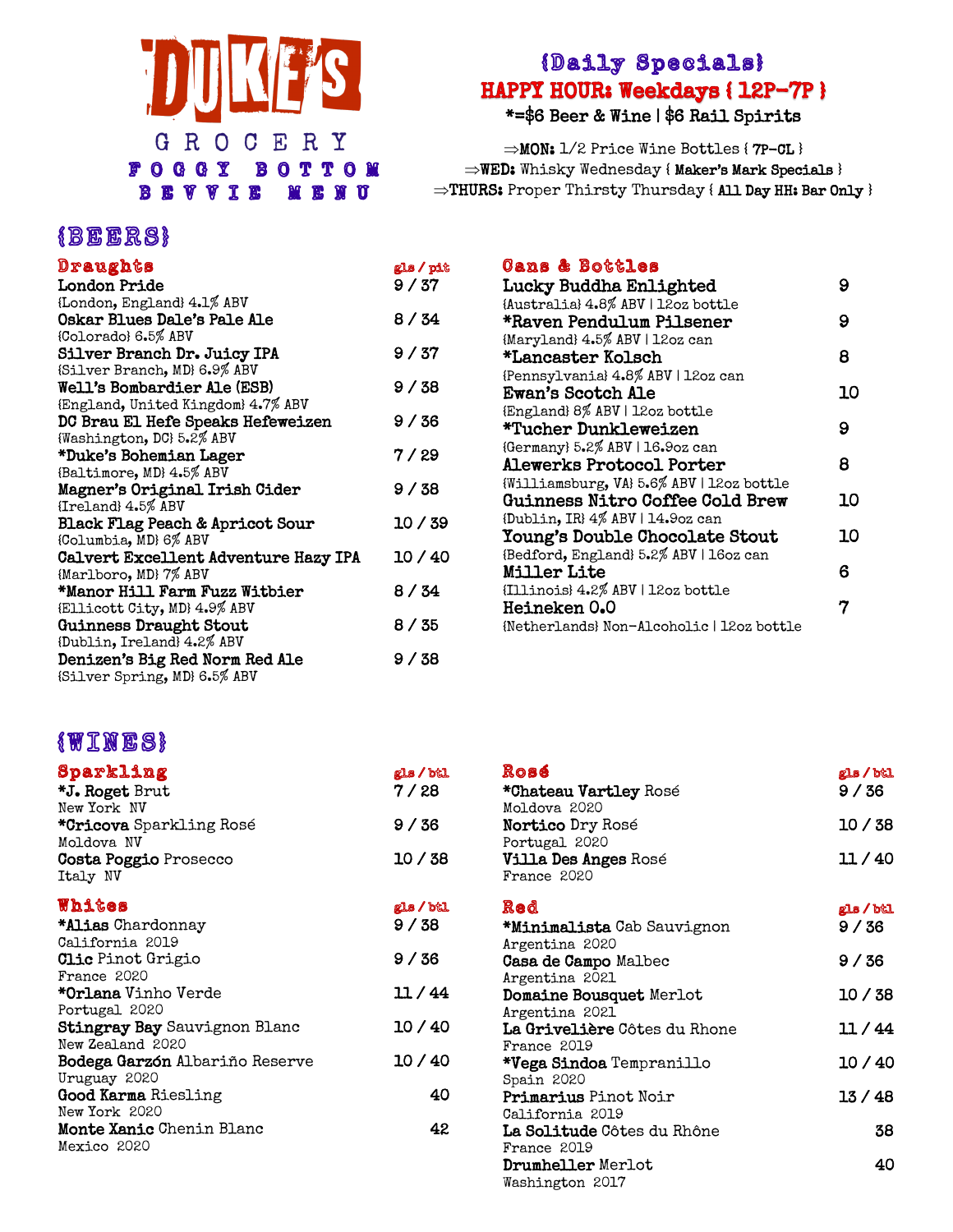

#### {Daily Specials} HAPPY HOUR: Weekdays { 12P-7P } \*=\$6 Beer & Wine | \$6 Rail Spirits

 $\Rightarrow$ MON: 1/2 Price Wine Bottles { 7P-CL } WED: Whisky Wednesday { Maker's Mark Specials }  $\Rightarrow$ THURS: Proper Thirsty Thursday { All Day HH: Bar Only }

| Draughts                                   | gls / pit |
|--------------------------------------------|-----------|
| London Pride                               | 9/37      |
| {London, England} 4.1% ABV                 |           |
| <b>Oskar Blues Dale's Pale Ale</b>         | 8/34      |
| {Colorado} 6.5% ABV                        |           |
| Silver Branch Dr. Juicy IPA                | 9/37      |
| {Silver Branch, MD} 6.9% ABV               |           |
| <b>Well's Bombardier Ale (ESB)</b>         | 9 / 38    |
| {England, United Kingdom} 4.7% ABV         |           |
| DC Brau El Hefe Speaks Hefeweizen          | 9 / 36    |
| {Washington, DC} 5.2% ABV                  |           |
| *Duke's Bohemian Lager                     | 7 / 29    |
| {Baltimore, MD} 4.5% ABV                   |           |
| Magner's Original Irish Cider              | 9 / 38    |
| {Ireland} 4.5% ABV                         |           |
| <b>Black Flag Peach &amp; Apricot Sour</b> | 10/39     |
| {Columbia, MD} 6% ABV                      |           |
| Calvert Excellent Adventure Hazy IPA       | 10/40     |
| {Marlboro, MD} 7% ABV                      |           |
| *Manor Hill Farm Fuzz Witbier              | 8 / 34    |
| (Ellicott City, MD} 4.9% ABV               |           |
| Guinness Draught Stout                     | 8 / 35    |
| {Dublin, Ireland} 4.2% ABV                 |           |
| Denizen's Big Red Norm Red Ale             | 9 / 38    |
| {Silver Spring, MD} 6.5% ABV               |           |

| <b>Cans &amp; Bottles</b>                 |    |
|-------------------------------------------|----|
| Lucky Buddha Enlighted                    | 9  |
| {Australia} 4.8% ABV   12oz bottle        |    |
| *Raven Pendulum Pilsener                  | 9  |
| {Maryland} 4.5% ABV   12oz can            |    |
| *Lancaster Kolsch                         | 8  |
| {Pennsylvania} 4.8% ABV   12oz can        |    |
| Ewan's Scotch Ale                         | 10 |
| {England} 8% ABV   12oz bottle            |    |
| *Tucher Dunkleweizen                      | 9  |
| {Germany} 5.2% ABV   16.9oz can           |    |
| Alewerks Protocol Porter                  | 8  |
| {Williamsburg, VA} 5.6% ABV   12oz bottle |    |
| <b>Guinness Nitro Coffee Cold Brew</b>    | 10 |
| {Dublin, IR} 4% ABV   14.9oz can          |    |
| <b>Young's Double Chocolate Stout</b>     | 10 |
| {Bedford, England} 5.2% ABV   16oz can    |    |
| <b>Miller Lite</b>                        | 6  |
| {Illinois} 4.2% ABV   12oz bottle         |    |
| <b>Heineken 0.0</b>                       |    |
| {Netherlands} Non-Alcoholic   12oz bottle |    |

## $\{WIMES\}$

| Sparkling                              | gls / btl |
|----------------------------------------|-----------|
| *J. Roget Brut                         | 7/28      |
| New York NV                            |           |
| <b>*Cricova</b> Sparkling Rosé         | 9 / 36    |
| Moldova NV                             |           |
| <b>Costa Poggio</b> Prosecco           | 10 / 38   |
| Italy NV                               |           |
| Whites                                 | gls / btl |
| <b>*Alias Chardonnay</b>               | 9/38      |
| California 2019                        |           |
| <b>Clic</b> Pinot Grigio               | 9/36      |
| France 2020                            |           |
| <b>*Orlana</b> Vinho Verde             | 11/44     |
| Portugal 2020                          |           |
| <b>Stingray Bay</b> Sauvignon Blanc    | 10 / 40   |
| New Zealand 2020                       |           |
| <b>Bodega Garzón Al</b> bariño Reserve | 10 / 40   |
| Uruguay 2020                           |           |
| <b>Good Karma</b> Riesling             | 40        |
| New York 2020                          |           |
| <b>Monte Xanic Chenin Blanc</b>        | 42        |
| Mexico 2020                            |           |

| Rosé                                | gls / btl |
|-------------------------------------|-----------|
| <b>*Chateau Vartley Rosé</b>        | 9/36      |
| Moldova <sub>2020</sub>             |           |
| <b>Nortico</b> Dry Rosé             | 10 / 38   |
| Portugal 2020                       |           |
| <b>Villa Des Anges</b> Rosé         | 11/40     |
| <b>France 2020</b>                  |           |
| Red                                 | gls / btl |
| <b>*Minimalista</b> Cab Sauvignon   | 9 / 36    |
| Argentina 2020                      |           |
| <b>Casa de Campo Malbec</b>         | 9 / 36    |
| Argentina 2021                      |           |
| Domaine Bousquet Merlot             | 10 / 38   |
| Argentina 2021                      |           |
| <b>La Grivelière</b> Côtes du Rhone | 11 / 44   |
| France 2019                         |           |
| <b>*Vega Sindoa</b> Tempranillo     | 10 / 40   |
| Spain 2020                          |           |
| <b>Primarius</b> Pinot Noir         | 13 / 48   |
| California 2019                     |           |
| La Solitude Côtes du Rhône          | 38        |
| France 2019                         |           |
| <b>Drumheller</b> Merlot            | 40        |
| Washington 2017                     |           |